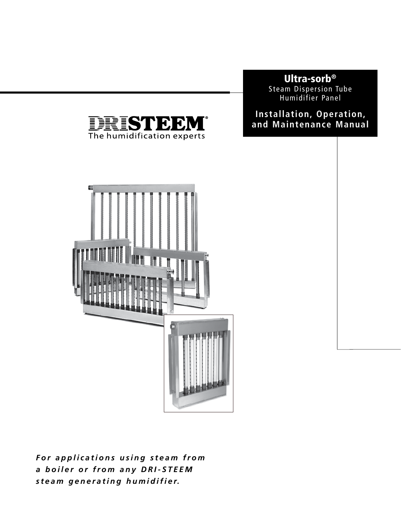# **Ultra-sorb®**

Steam Dispersion Tube Humidifier Panel

## **Installation, Operation, and Maintenance Manual**



DRISTE

The humidification experts

К)

For applications using steam from *a b o i l e r o r f r o m a n y D R I - S T E E M steam generating humidifier.*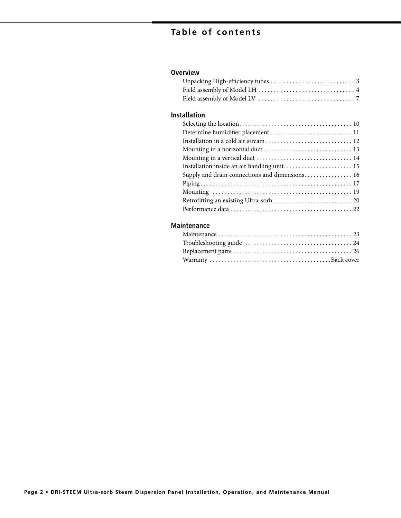# **Table of contents**

### **Overview**

### **Installation**

| Determine humidifier placement 11              |
|------------------------------------------------|
| Installation in a cold air stream  12          |
|                                                |
|                                                |
| Installation inside an air handling unit 15    |
| Supply and drain connections and dimensions 16 |
|                                                |
|                                                |
|                                                |
|                                                |

#### **Maintenance**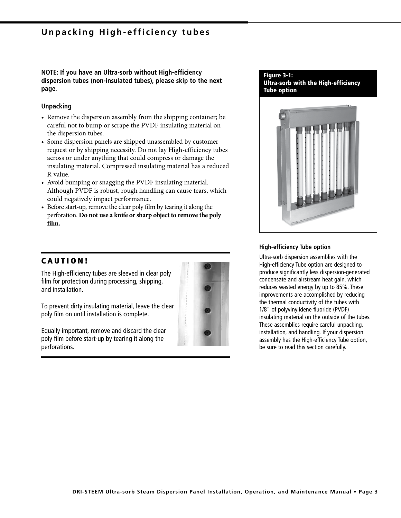## **Unpacking High-efficiency tubes**

**NOTE: If you have an Ultra-sorb without High-efficiency dispersion tubes (non-insulated tubes), please skip to the next page.**

#### **Unpacking**

- Remove the dispersion assembly from the shipping container; be careful not to bump or scrape the PVDF insulating material on the dispersion tubes.
- Some dispersion panels are shipped unassembled by customer request or by shipping necessity. Do not lay High-efficiency tubes across or under anything that could compress or damage the insulating material. Compressed insulating material has a reduced R-value.
- Avoid bumping or snagging the PVDF insulating material. Although PVDF is robust, rough handling can cause tears, which could negatively impact performance.
- Before start-up, remove the clear poly film by tearing it along the perforation. **Do not use a knife or sharp object to remove the poly film.**

### **C A U T I O N !**

The High-efficiency tubes are sleeved in clear poly film for protection during processing, shipping, and installation.

To prevent dirty insulating material, leave the clear poly film on until installation is complete.

Equally important, remove and discard the clear poly film before start-up by tearing it along the perforations.



#### **Figure 3-1: Ultra-sorb with the High-efficiency Tube option**



#### **High-efficiency Tube option**

Ultra-sorb dispersion assemblies with the High-efficiency Tube option are designed to produce significantly less dispersion-generated condensate and airstream heat gain, which reduces wasted energy by up to 85%. These improvements are accomplished by reducing the thermal conductivity of the tubes with 1/8" of polyvinylidene fluoride (PVDF) insulating material on the outside of the tubes. These assemblies require careful unpacking, installation, and handling. If your dispersion assembly has the High-efficiency Tube option, be sure to read this section carefully.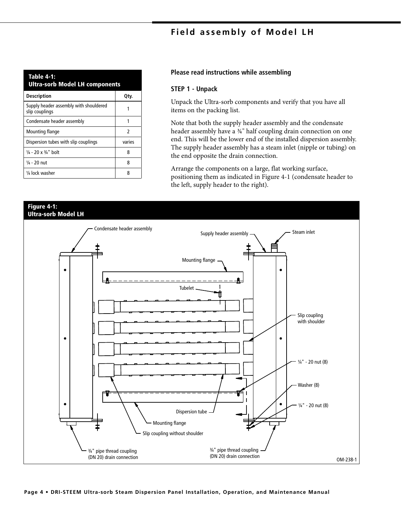## **Field assembly of Model LH**

| <b>Table 4-1:</b><br><b>Ultra-sorb Model LH components</b> |        |  |  |  |
|------------------------------------------------------------|--------|--|--|--|
| <b>Description</b>                                         | Qtv.   |  |  |  |
| Supply header assembly with shouldered<br>slip couplings   |        |  |  |  |
| Condensate header assembly                                 | 1      |  |  |  |
| Mounting flange                                            | 2      |  |  |  |
| Dispersion tubes with slip couplings                       | varies |  |  |  |
| $\frac{1}{4}$ - 20 x $\frac{3}{4}$ " bolt                  | 8      |  |  |  |
| $\frac{1}{4}$ - 20 nut                                     | 8      |  |  |  |
| 1/4 lock washer                                            | 8      |  |  |  |

#### **Please read instructions while assembling**

#### **STEP 1 - Unpack**

Unpack the Ultra-sorb components and verify that you have all items on the packing list.

Note that both the supply header assembly and the condensate header assembly have a <sup>34"</sup> half coupling drain connection on one end. This will be the lower end of the installed dispersion assembly. The supply header assembly has a steam inlet (nipple or tubing) on the end opposite the drain connection.

Arrange the components on a large, flat working surface, positioning them as indicated in Figure 4-1 (condensate header to the left, supply header to the right).

# **Figure 4-1: Ultra-sorb Model LH** Condensate header assembly Supply header assembly  $\sim$  Steam inlet Mounting flange  $\bullet$ Tubelet m Slip coupling with shoulder  $\bullet$ ¼" - 20 nut (8) Washer (8)  $\bullet$ ¼" - 20 nut (8) Dispersion tube Mounting flange Slip coupling without shoulder ¾" pipe thread coupling ¾" pipe thread coupling (DN 20) drain connection (DN 20) drain connection OM-238-1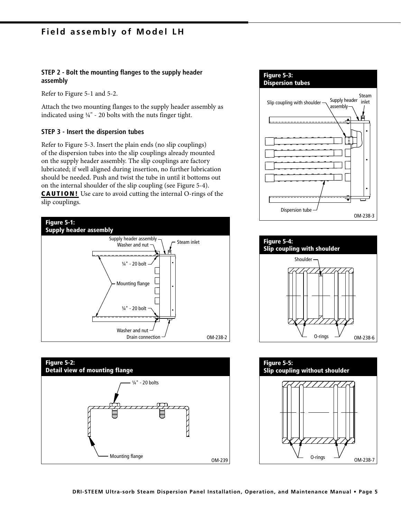### **Field assembly of Model LH**

#### **STEP 2 - Bolt the mounting flanges to the supply header assembly**

Refer to Figure 5-1 and 5-2.

Attach the two mounting flanges to the supply header assembly as indicated using ¼" - 20 bolts with the nuts finger tight.

#### **STEP 3 - Insert the dispersion tubes**

Refer to Figure 5-3. Insert the plain ends (no slip couplings) of the dispersion tubes into the slip couplings already mounted on the supply header assembly. The slip couplings are factory lubricated; if well aligned during insertion, no further lubrication should be needed. Push and twist the tube in until it bottoms out on the internal shoulder of the slip coupling (see Figure 5-4). **CAUTION!** Use care to avoid cutting the internal O-rings of the slip couplings.





#### **Figure 5-3: Dispersion tubes**





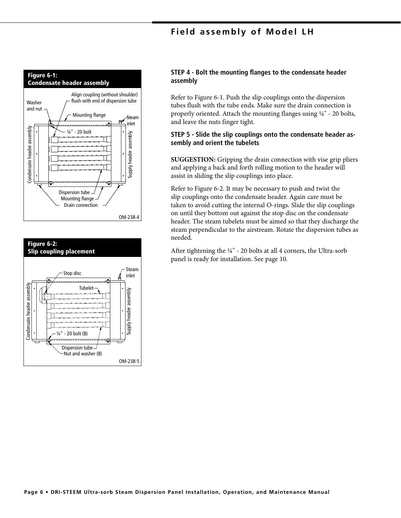### **Field assembly of Model LH**





#### **STEP 4 - Bolt the mounting flanges to the condensate header assembly**

Refer to Figure 6-1. Push the slip couplings onto the dispersion tubes flush with the tube ends. Make sure the drain connection is properly oriented. Attach the mounting flanges using ¼" - 20 bolts, and leave the nuts finger tight.

#### **STEP 5 - Slide the slip couplings onto the condensate header assembly and orient the tubelets**

**SUGGESTION:** Gripping the drain connection with vise grip pliers and applying a back and forth rolling motion to the header will assist in sliding the slip couplings into place.

Refer to Figure 6-2. It may be necessary to push and twist the slip couplings onto the condensate header. Again care must be taken to avoid cutting the internal O-rings. Slide the slip couplings on until they bottom out against the stop disc on the condensate header. The steam tubelets must be aimed so that they discharge the steam perpendicular to the airstream. Rotate the dispersion tubes as needed.

After tightening the ¼" - 20 bolts at all 4 corners, the Ultra-sorb panel is ready for installation. See page 10.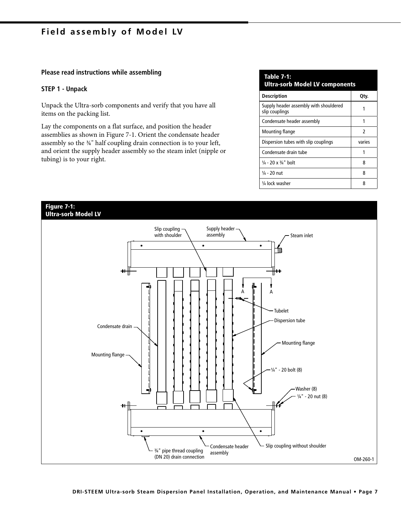### **Field assembly of Model LV**

#### **Please read instructions while assembling**

#### **STEP 1 - Unpack**

Unpack the Ultra-sorb components and verify that you have all items on the packing list.

Lay the components on a flat surface, and position the header assemblies as shown in Figure 7-1. Orient the condensate header assembly so the ¾" half coupling drain connection is to your left, and orient the supply header assembly so the steam inlet (nipple or tubing) is to your right.

| <b>Table 7-1:</b><br><b>Ultra-sorb Model LV components</b> |        |  |  |  |
|------------------------------------------------------------|--------|--|--|--|
| <b>Description</b>                                         | Qty.   |  |  |  |
| Supply header assembly with shouldered<br>slip couplings   | 1      |  |  |  |
| Condensate header assembly                                 | 1      |  |  |  |
| Mounting flange                                            | 2      |  |  |  |
| Dispersion tubes with slip couplings                       | varies |  |  |  |
| Condensate drain tube                                      |        |  |  |  |
| $\frac{1}{4}$ - 20 x $\frac{3}{4}$ " bolt                  | 8      |  |  |  |
| $\frac{1}{4}$ - 20 nut                                     | 8      |  |  |  |
| 1/4 lock washer                                            | 8      |  |  |  |

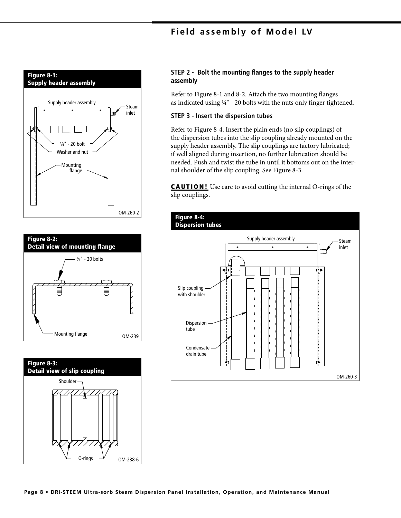## **Field assembly of Model LV**







#### **STEP 2 - Bolt the mounting flanges to the supply header assembly**

Refer to Figure 8-1 and 8-2. Attach the two mounting flanges as indicated using  $\frac{1}{4}$ " - 20 bolts with the nuts only finger tightened.

#### **STEP 3 - Insert the dispersion tubes**

Refer to Figure 8-4. Insert the plain ends (no slip couplings) of the dispersion tubes into the slip coupling already mounted on the supply header assembly. The slip couplings are factory lubricated; if well aligned during insertion, no further lubrication should be needed. Push and twist the tube in until it bottoms out on the internal shoulder of the slip coupling. See Figure 8-3.

**CAUTION!** Use care to avoid cutting the internal O-rings of the slip couplings.

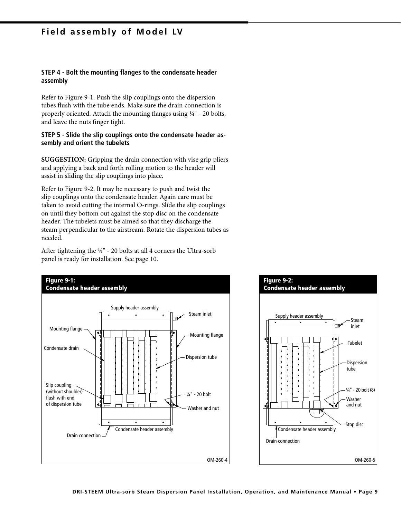### **Field assembly of Model LV**

#### **STEP 4 - Bolt the mounting flanges to the condensate header assembly**

Refer to Figure 9-1. Push the slip couplings onto the dispersion tubes flush with the tube ends. Make sure the drain connection is properly oriented. Attach the mounting flanges using ¼" - 20 bolts, and leave the nuts finger tight.

#### **STEP 5 - Slide the slip couplings onto the condensate header assembly and orient the tubelets**

**SUGGESTION:** Gripping the drain connection with vise grip pliers and applying a back and forth rolling motion to the header will assist in sliding the slip couplings into place.

Refer to Figure 9-2. It may be necessary to push and twist the slip couplings onto the condensate header. Again care must be taken to avoid cutting the internal O-rings. Slide the slip couplings on until they bottom out against the stop disc on the condensate header. The tubelets must be aimed so that they discharge the steam perpendicular to the airstream. Rotate the dispersion tubes as needed.

After tightening the ¼" - 20 bolts at all 4 corners the Ultra-sorb panel is ready for installation. See page 10.

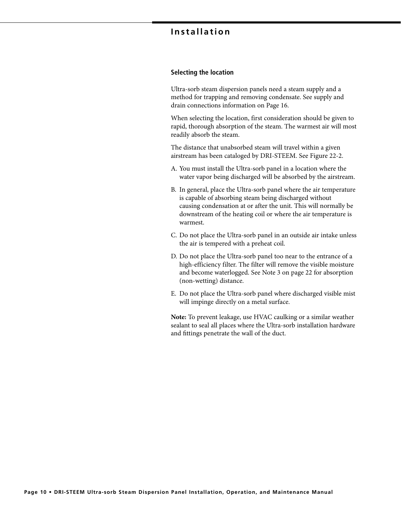#### **Selecting the location**

Ultra-sorb steam dispersion panels need a steam supply and a method for trapping and removing condensate. See supply and drain connections information on Page 16.

When selecting the location, first consideration should be given to rapid, thorough absorption of the steam. The warmest air will most readily absorb the steam.

The distance that unabsorbed steam will travel within a given airstream has been cataloged by DRI-STEEM. See Figure 22-2.

- A. You must install the Ultra-sorb panel in a location where the water vapor being discharged will be absorbed by the airstream.
- B. In general, place the Ultra-sorb panel where the air temperature is capable of absorbing steam being discharged without causing condensation at or after the unit. This will normally be downstream of the heating coil or where the air temperature is warmest.
- C. Do not place the Ultra-sorb panel in an outside air intake unless the air is tempered with a preheat coil.
- D. Do not place the Ultra-sorb panel too near to the entrance of a high-efficiency filter. The filter will remove the visible moisture and become waterlogged. See Note 3 on page 22 for absorption (non-wetting) distance.
- E. Do not place the Ultra-sorb panel where discharged visible mist will impinge directly on a metal surface.

**Note:** To prevent leakage, use HVAC caulking or a similar weather sealant to seal all places where the Ultra-sorb installation hardware and fittings penetrate the wall of the duct.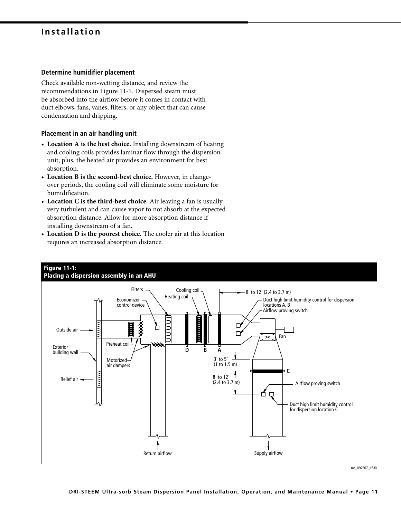#### **Determine humidifier placement**

Check available non-wetting distance, and review the recommendations in Figure 11-1. Dispersed steam must be absorbed into the airflow before it comes in contact with duct elbows, fans, vanes, filters, or any object that can cause condensation and dripping.

#### **Placement in an air handling unit**

- **Location A is the best choice.** Installing downstream of heating and cooling coils provides laminar flow through the dispersion unit; plus, the heated air provides an environment for best absorption.
- **Location B is the second-best choice.** However, in changeover periods, the cooling coil will eliminate some moisture for humidification.
- **Location C is the third-best choice.** Air leaving a fan is usually very turbulent and can cause vapor to not absorb at the expected absorption distance. Allow for more absorption distance if installing downstream of a fan.
- **Location D is the poorest choice.** The cooler air at this location requires an increased absorption distance.



# **Figure 11-1:**

mc\_092507\_1530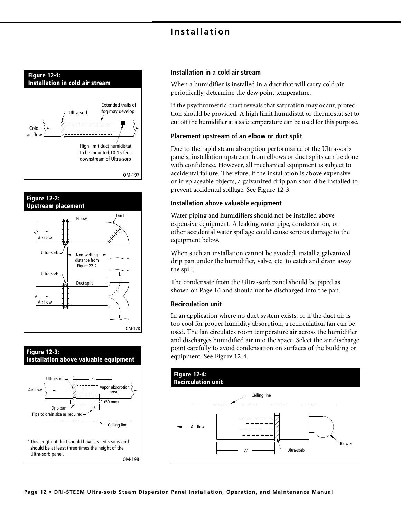





#### **Installation in a cold air stream**

When a humidifier is installed in a duct that will carry cold air periodically, determine the dew point temperature.

If the psychrometric chart reveals that saturation may occur, protection should be provided. A high limit humidistat or thermostat set to cut off the humidifier at a safe temperature can be used for this purpose.

#### **Placement upstream of an elbow or duct split**

Due to the rapid steam absorption performance of the Ultra-sorb panels, installation upstream from elbows or duct splits can be done with confidence. However, all mechanical equipment is subject to accidental failure. Therefore, if the installation is above expensive or irreplaceable objects, a galvanized drip pan should be installed to prevent accidental spillage. See Figure 12-3.

#### **Installation above valuable equipment**

Water piping and humidifiers should not be installed above expensive equipment. A leaking water pipe, condensation, or other accidental water spillage could cause serious damage to the equipment below.

When such an installation cannot be avoided, install a galvanized drip pan under the humidifier, valve, etc. to catch and drain away the spill.

The condensate from the Ultra-sorb panel should be piped as shown on Page 16 and should not be discharged into the pan.

#### **Recirculation unit**

In an application where no duct system exists, or if the duct air is too cool for proper humidity absorption, a recirculation fan can be used. The fan circulates room temperature air across the humidifier and discharges humidified air into the space. Select the air discharge point carefully to avoid condensation on surfaces of the building or equipment. See Figure 12-4.

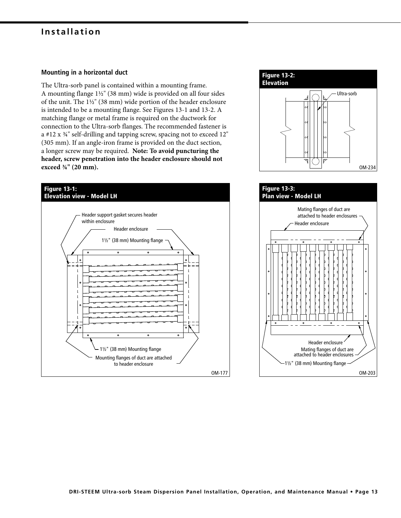#### **Mounting in a horizontal duct**

The Ultra-sorb panel is contained within a mounting frame. A mounting flange 1½" (38 mm) wide is provided on all four sides of the unit. The 1½" (38 mm) wide portion of the header enclosure is intended to be a mounting flange. See Figures 13-1 and 13-2. A matching flange or metal frame is required on the ductwork for connection to the Ultra-sorb flanges. The recommended fastener is a #12 x ¾" self-drilling and tapping screw, spacing not to exceed 12" (305 mm). If an angle-iron frame is provided on the duct section, a longer screw may be required. **Note: To avoid puncturing the header, screw penetration into the header enclosure should not exceed ¾" (20 mm).**





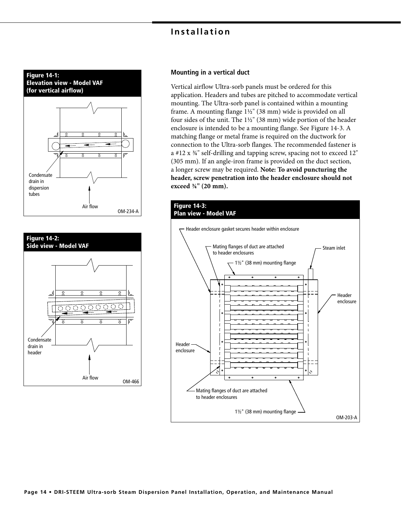



#### **Mounting in a vertical duct**

Vertical airflow Ultra-sorb panels must be ordered for this application. Headers and tubes are pitched to accommodate vertical mounting. The Ultra-sorb panel is contained within a mounting frame. A mounting flange 1½" (38 mm) wide is provided on all four sides of the unit. The 1½" (38 mm) wide portion of the header enclosure is intended to be a mounting flange. See Figure 14-3. A matching flange or metal frame is required on the ductwork for connection to the Ultra-sorb flanges. The recommended fastener is a #12 x ¾" self-drilling and tapping screw, spacing not to exceed 12" (305 mm). If an angle-iron frame is provided on the duct section, a longer screw may be required. **Note: To avoid puncturing the header, screw penetration into the header enclosure should not exceed ¾" (20 mm).**

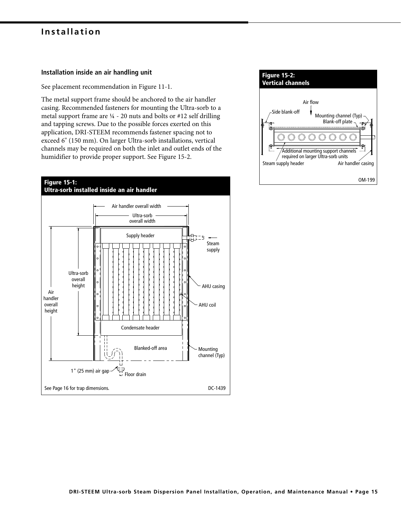#### **Installation inside an air handling unit**

See placement recommendation in Figure 11-1.

The metal support frame should be anchored to the air handler casing. Recommended fasteners for mounting the Ultra-sorb to a metal support frame are ¼ - 20 nuts and bolts or #12 self drilling and tapping screws. Due to the possible forces exerted on this application, DRI-STEEM recommends fastener spacing not to exceed 6" (150 mm). On larger Ultra-sorb installations, vertical channels may be required on both the inlet and outlet ends of the humidifier to provide proper support. See Figure 15-2.



| <b>Figure 15-2:</b><br><b>Vertical channels</b>                                                                          |
|--------------------------------------------------------------------------------------------------------------------------|
| Air flow<br>Side blank-off<br>Mounting channel (Typ)<br>Blank-off plate $\neg$                                           |
|                                                                                                                          |
| Additional mounting support channels<br>required on larger Ultra-sorb units<br>Air handler casing<br>Steam supply header |
| OM-199                                                                                                                   |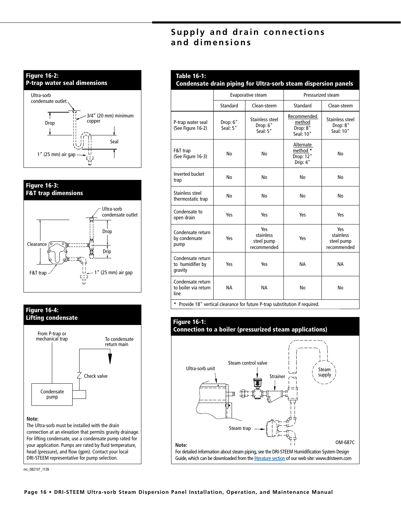## **Supply and drain connections and dimensions**







#### **Note:**

The Ultra-sorb must be installed with the drain connection at an elevation that permits gravity drainage. For lifting condensate, use a condensate pump rated for your application. Pumps are rated by fluid temperature, head (pressure), and flow (gpm). Contact your local DRI-STEEM representative for pump selection.

mc\_082107\_1139

|                                                   |                      | Evaporative steam                             | Pressurized steam                              |                                               |
|---------------------------------------------------|----------------------|-----------------------------------------------|------------------------------------------------|-----------------------------------------------|
|                                                   | Standard             | Clean-steem                                   | Standard                                       | Clean-steem                                   |
| P-trap water seal<br>(See Figure 16-2)            | Drop: 6"<br>Seal: 5" | Stainless steel<br>Drop: 6"<br>Seal: 5"       | Recommended<br>method<br>Drop: 8"<br>Seal: 10" | Stainless steel<br>Drop: 8"<br>Seal: 10"      |
| F&T trap<br>(See Figure 16-3)                     | No                   | No                                            | Alternate<br>method *<br>Drop: 12"<br>Drip: 4" | No                                            |
| <b>Inverted bucket</b><br>trap                    | No                   | No                                            | No                                             | No                                            |
| Stainless steel<br>No<br>No<br>thermostatic trap  |                      | No                                            | No                                             |                                               |
| Condensate to<br>Yes<br>Yes<br>open drain         |                      |                                               | Yes                                            | Yes                                           |
| Condensate return<br>by condensate<br>Yes<br>pump |                      | Yes<br>stainless<br>steel pump<br>recommended | Yes                                            | Yes<br>stainless<br>steel pump<br>recommended |
| Condensate return<br>to humidifier by<br>gravity  | Yes                  | Yes                                           | <b>NA</b>                                      | <b>NA</b>                                     |
| Condensate return<br>to boiler via return<br>line | <b>NA</b>            | <b>NA</b>                                     | No                                             | No                                            |

**\*** Provide 18" vertical clearance for future P-trap substitution if required.

## **Figure 16-1: Connection to a boiler (pressurized steam applications)**

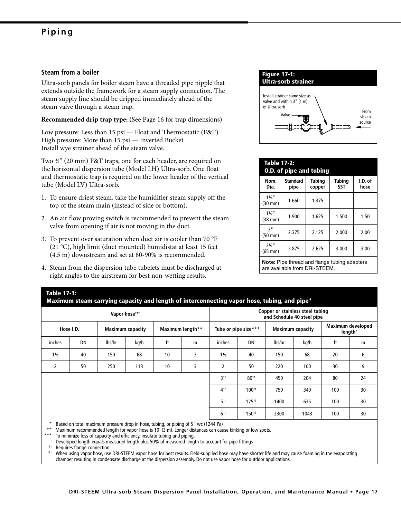# **Piping**

#### **Steam from a boiler**

Ultra-sorb panels for boiler steam have a threaded pipe nipple that extends outside the framework for a steam supply connection. The steam supply line should be dripped immediately ahead of the steam valve through a steam trap.

**Recommended drip trap type:** (See Page 16 for trap dimensions)

Low pressure: Less than 15 psi — Float and Thermostatic (F&T) High pressure: More than 15 psi — Inverted Bucket Install wye strainer ahead of the steam valve.

Two ¾" (20 mm) F&T traps, one for each header, are required on the horizontal dispersion tube (Model LH) Ultra-sorb. One float and thermostatic trap is required on the lower header of the vertical tube (Model LV) Ultra-sorb.

- 1. To ensure driest steam, take the humidifier steam supply off the top of the steam main (instead of side or bottom).
- 2. An air flow proving switch is recommended to prevent the steam valve from opening if air is not moving in the duct.
- 3. To prevent over saturation when duct air is cooler than 70 °F (21 °C), high limit (duct mounted) humidistat at least 15 feet (4.5 m) downstream and set at 80-90% is recommended.
- 4. Steam from the dispersion tube tubelets must be discharged at right angles to the airstream for best non-wetting results.



| <b>Table 17-2:</b><br><b>O.D. of pipe and tubing</b> |                         |                  |                      |                 |
|------------------------------------------------------|-------------------------|------------------|----------------------|-----------------|
| Nom.<br>Dia.                                         | <b>Standard</b><br>pipe | Tubing<br>copper | Tubing<br><b>SST</b> | I.D. of<br>hose |
| $1\frac{1}{4}$<br>$(30 \text{ mm})$                  | 1.660                   | 1.375            |                      |                 |
| $11/2$ "<br>$(38$ mm $)$                             | 1.900                   | 1.625            | 1.500                | 1.50            |
| 2"<br>$(50$ mm $)$                                   | 2.375                   | 2.125            | 2.000                | 2.00            |
| $2\frac{1}{2}$ "<br>$(65$ mm $)$                     | 2.875                   | 2.625            | 3.000                | 3.00            |
| Note: Pipe thread and flange tubing adapters         |                         |                  |                      |                 |

are available from DRI-STEEM.

### **Table 17-1: Maximum steam carrying capacity and length of interconnecting vapor hose, tubing, and pipe\* Vapor hose††† Copper or stainless steel tubing and Schedule 40 steel pipe Hose I.D. Maximum capacity Maximum length\*\* Tube or pipe size\*\*\* Maximum capacity Maximum developed length†** inches | DN | Ibs/hr | kg/h | ft | m | inches | DN | Ibs/hr | kg/h | ft | m 1½ | 40 | 150 | 68 | 10 | 3 | 1½ | 40 | 150 | 68 | 20 | 6 2 50 250 113 10 3 2 50 220 100 30 9 3†† 80†† 450 204 80 24 4†† 100†† 750 340 100 30 5†† 125†† 1400 635 100 30 6†† 150†† 2300 1043 100 30 Based on total maximum pressure drop in hose, tubing, or piping of 5" wc (1244 Pa)

\*\* Maximum recommended length for vapor hose is 10' (3 m). Longer distances can cause kinking or low spots.

To minimize loss of capacity and efficiency, insulate tubing and piping.

† Developed length equals measured length plus 50% of measured length to account for pipe fittings.

†† Requires flange connection

††† When using vapor hose, use DRI-STEEM vapor hose for best results. Field-supplied hose may have shorter life and may cause foaming in the evaporating chamber resulting in condensate discharge at the dispersion assembly. Do not use vapor hose for outdoor applications.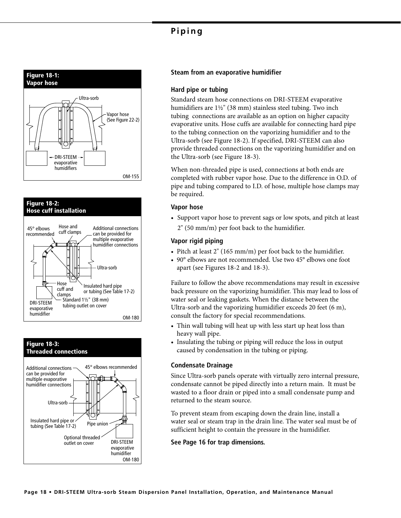# **Piping**







#### **Steam from an evaporative humidifier**

#### **Hard pipe or tubing**

Standard steam hose connections on DRI-STEEM evaporative humidifiers are 1½" (38 mm) stainless steel tubing. Two inch tubing connections are available as an option on higher capacity evaporative units. Hose cuffs are available for connecting hard pipe to the tubing connection on the vaporizing humidifier and to the Ultra-sorb (see Figure 18-2). If specified, DRI-STEEM can also provide threaded connections on the vaporizing humidifier and on the Ultra-sorb (see Figure 18-3).

When non-threaded pipe is used, connections at both ends are completed with rubber vapor hose. Due to the difference in O.D. of pipe and tubing compared to I.D. of hose, multiple hose clamps may be required.

#### **Vapor hose**

• Support vapor hose to prevent sags or low spots, and pitch at least 2" (50 mm/m) per foot back to the humidifier.

#### **Vapor rigid piping**

- Pitch at least 2" (165 mm/m) per foot back to the humidifier.
- 90° elbows are not recommended. Use two 45° elbows one foot apart (see Figures 18-2 and 18-3).

Failure to follow the above recommendations may result in excessive back pressure on the vaporizing humidifier. This may lead to loss of water seal or leaking gaskets. When the distance between the Ultra-sorb and the vaporizing humidifier exceeds 20 feet (6 m), consult the factory for special recommendations.

- Thin wall tubing will heat up with less start up heat loss than heavy wall pipe.
- Insulating the tubing or piping will reduce the loss in output caused by condensation in the tubing or piping.

#### **Condensate Drainage**

Since Ultra-sorb panels operate with virtually zero internal pressure, condensate cannot be piped directly into a return main. It must be wasted to a floor drain or piped into a small condensate pump and returned to the steam source.

To prevent steam from escaping down the drain line, install a water seal or steam trap in the drain line. The water seal must be of sufficient height to contain the pressure in the humidifier.

**See Page 16 for trap dimensions.**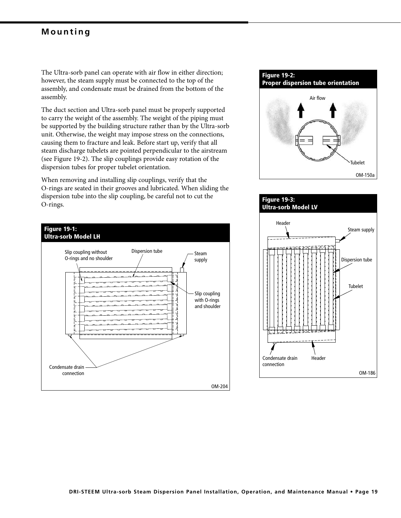### **Mounting**

The Ultra-sorb panel can operate with air flow in either direction; however, the steam supply must be connected to the top of the assembly, and condensate must be drained from the bottom of the assembly.

The duct section and Ultra-sorb panel must be properly supported to carry the weight of the assembly. The weight of the piping must be supported by the building structure rather than by the Ultra-sorb unit. Otherwise, the weight may impose stress on the connections, causing them to fracture and leak. Before start up, verify that all steam discharge tubelets are pointed perpendicular to the airstream (see Figure 19-2). The slip couplings provide easy rotation of the dispersion tubes for proper tubelet orientation.

When removing and installing slip couplings, verify that the O-rings are seated in their grooves and lubricated. When sliding the dispersion tube into the slip coupling, be careful not to cut the O-rings.





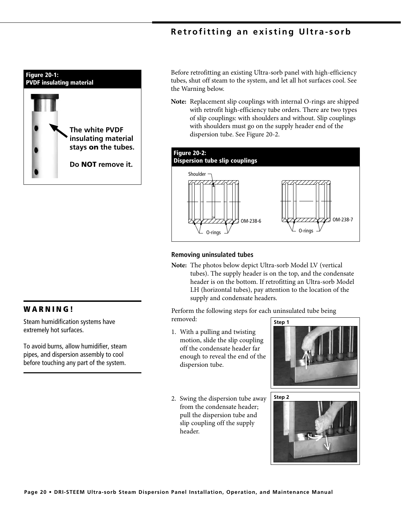## **Retrofitting an existing Ultra-sorb**



Before retrofitting an existing Ultra-sorb panel with high-efficiency tubes, shut off steam to the system, and let all hot surfaces cool. See the Warning below.

**Note:** Replacement slip couplings with internal O-rings are shipped with retrofit high-efficiency tube orders. There are two types of slip couplings: with shoulders and without. Slip couplings with shoulders must go on the supply header end of the dispersion tube. See Figure 20-2.



#### **Removing uninsulated tubes**

**Note:** The photos below depict Ultra-sorb Model LV (vertical tubes). The supply header is on the top, and the condensate header is on the bottom. If retrofitting an Ultra-sorb Model LH (horizontal tubes), pay attention to the location of the supply and condensate headers.

Perform the following steps for each uninsulated tube being removed:

1. With a pulling and twisting motion, slide the slip coupling off the condensate header far enough to reveal the end of the dispersion tube.







### **W A R N I N G !**

Steam humidification systems have extremely hot surfaces.

To avoid burns, allow humidifier, steam pipes, and dispersion assembly to cool before touching any part of the system.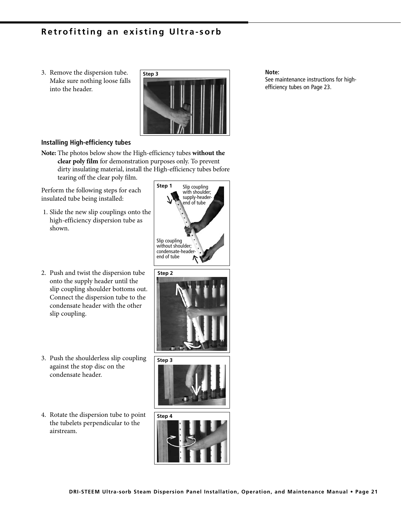### **Retrofitting an existing Ultra-sorb**

3. Remove the dispersion tube. Make sure nothing loose falls into the header.



#### **Note:**

See maintenance instructions for highefficiency tubes on Page 23.

#### **Installing High-efficiency tubes**

**Note:** The photos below show the High-efficiency tubes **without the clear poly film** for demonstration purposes only. To prevent dirty insulating material, install the High-efficiency tubes before tearing off the clear poly film.

Perform the following steps for each insulated tube being installed:

- 1. Slide the new slip couplings onto the high-efficiency dispersion tube as shown.
- 2. Push and twist the dispersion tube onto the supply header until the slip coupling shoulder bottoms out. Connect the dispersion tube to the condensate header with the other slip coupling.
- 3. Push the shoulderless slip coupling against the stop disc on the condensate header.
- 4. Rotate the dispersion tube to point the tubelets perpendicular to the airstream.

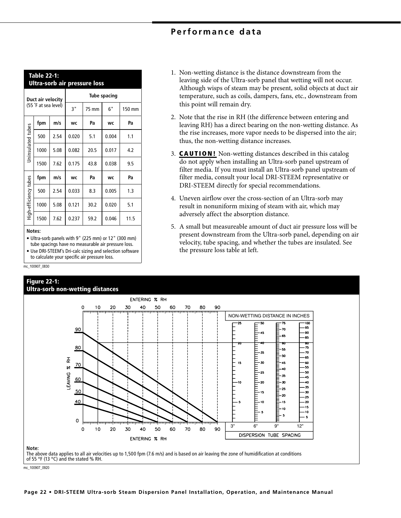| Performance data |  |  |  |
|------------------|--|--|--|
|------------------|--|--|--|

this point will remain dry.

|                       | <b>Table 22-1:</b><br><b>Ultra-sorb air pressure loss</b> |      |       |                     |       |        |
|-----------------------|-----------------------------------------------------------|------|-------|---------------------|-------|--------|
| Duct air velocity     |                                                           |      |       | <b>Tube spacing</b> |       |        |
|                       | (55 °F at sea level)                                      |      | 3"    | 75 mm               | 6"    | 150 mm |
|                       | fpm                                                       | m/s  | WC    | Pa                  | WC    | Pa     |
| Uninsulated tubes     | 500                                                       | 2.54 | 0.020 | 5.1                 | 0.004 | 1.1    |
|                       | 1000                                                      | 5.08 | 0.082 | 20.5                | 0.017 | 4.2    |
|                       | 1500                                                      | 7.62 | 0.175 | 43.8                | 0.038 | 9.5    |
|                       | fpm                                                       | m/s  | WC    | Pa                  | WC    | Pa     |
| High-efficiency tubes | 500                                                       | 2.54 | 0.033 | 8.3                 | 0.005 | 1.3    |
|                       | 1000                                                      | 5.08 | 0.121 | 30.2                | 0.020 | 5.1    |
|                       | 1500                                                      | 7.62 | 0.237 | 59.2                | 0.046 | 11.5   |

#### **Notes:**

- Ultra-sorb panels with 9" (225 mm) or 12" (300 mm) tube spacings have no measurable air pressure loss.
- Use DRI-STEEM's Dri-calc sizing and selection software to calculate your specific air pressure loss.

mc\_100907\_0830





3. **CAUTION!** Non-wetting distances described in this catalog do not apply when installing an Ultra-sorb panel upstream of filter media. If you must install an Ultra-sorb panel upstream of

thus, the non-wetting distance increases.

filter media, consult your local DRI-STEEM representative or DRI-STEEM directly for special recommendations. 4. Uneven airflow over the cross-section of an Ultra-sorb may

1. Non-wetting distance is the distance downstream from the leaving side of the Ultra-sorb panel that wetting will not occur. Although wisps of steam may be present, solid objects at duct air temperature, such as coils, dampers, fans, etc., downstream from

2. Note that the rise in RH (the difference between entering and leaving RH) has a direct bearing on the non-wetting distance. As the rise increases, more vapor needs to be dispersed into the air;

- result in nonuniform mixing of steam with air, which may adversely affect the absorption distance.
- 5. A small but measureable amount of duct air pressure loss will be present downstream from the Ultra-sorb panel, depending on air velocity, tube spacing, and whether the tubes are insulated. See the pressure loss table at left.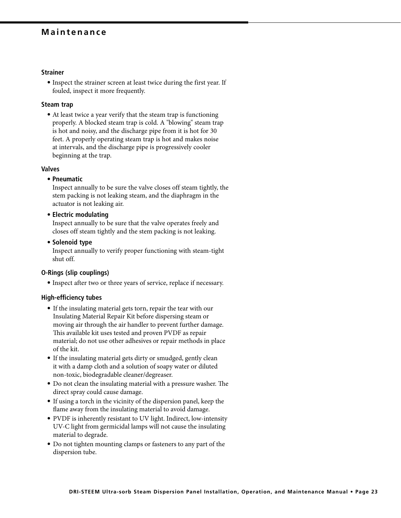### **Maintenance**

#### **Strainer**

 **•** Inspect the strainer screen at least twice during the first year. If fouled, inspect it more frequently.

#### **Steam trap**

 **•** At least twice a year verify that the steam trap is functioning properly. A blocked steam trap is cold. A "blowing" steam trap is hot and noisy, and the discharge pipe from it is hot for 30 feet. A properly operating steam trap is hot and makes noise at intervals, and the discharge pipe is progressively cooler beginning at the trap.

#### **Valves**

#### **• Pneumatic**

Inspect annually to be sure the valve closes off steam tightly, the stem packing is not leaking steam, and the diaphragm in the actuator is not leaking air.

 **• Electric modulating**

Inspect annually to be sure that the valve operates freely and closes off steam tightly and the stem packing is not leaking.

#### **• Solenoid type**

Inspect annually to verify proper functioning with steam-tight shut off.

#### **O-Rings (slip couplings)**

 **•** Inspect after two or three years of service, replace if necessary.

#### **High-efficiency tubes**

- If the insulating material gets torn, repair the tear with our Insulating Material Repair Kit before dispersing steam or moving air through the air handler to prevent further damage. This available kit uses tested and proven PVDF as repair material; do not use other adhesives or repair methods in place of the kit.
- If the insulating material gets dirty or smudged, gently clean it with a damp cloth and a solution of soapy water or diluted non-toxic, biodegradable cleaner/degreaser.
- Do not clean the insulating material with a pressure washer. The direct spray could cause damage.
- If using a torch in the vicinity of the dispersion panel, keep the flame away from the insulating material to avoid damage.
- PVDF is inherently resistant to UV light. Indirect, low-intensity UV-C light from germicidal lamps will not cause the insulating material to degrade.
- Do not tighten mounting clamps or fasteners to any part of the dispersion tube.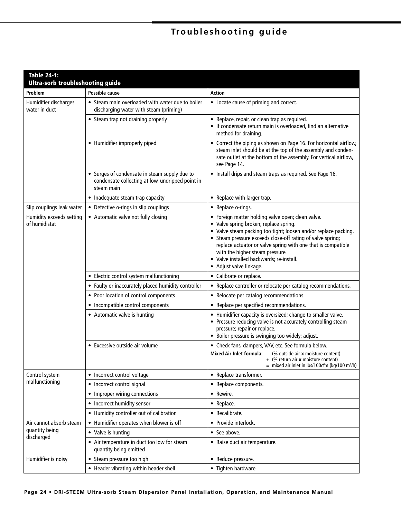# **Troubleshooting guide**

| <b>Table 24-1:</b><br><b>Ultra-sorb troubleshooting guide</b> |                                                                                                                 |                                                                                                                                                                                                                                                                                                                                                                                                        |
|---------------------------------------------------------------|-----------------------------------------------------------------------------------------------------------------|--------------------------------------------------------------------------------------------------------------------------------------------------------------------------------------------------------------------------------------------------------------------------------------------------------------------------------------------------------------------------------------------------------|
| Problem                                                       | Possible cause                                                                                                  | <b>Action</b>                                                                                                                                                                                                                                                                                                                                                                                          |
| Humidifier discharges<br>water in duct                        | • Steam main overloaded with water due to boiler<br>discharging water with steam (priming)                      | • Locate cause of priming and correct.                                                                                                                                                                                                                                                                                                                                                                 |
|                                                               | • Steam trap not draining properly                                                                              | • Replace, repair, or clean trap as required.<br>• If condensate return main is overloaded, find an alternative<br>method for draining.                                                                                                                                                                                                                                                                |
|                                                               | • Humidifier improperly piped                                                                                   | • Correct the piping as shown on Page 16. For horizontal airflow,<br>steam inlet should be at the top of the assembly and conden-<br>sate outlet at the bottom of the assembly. For vertical airflow,<br>see Page 14.                                                                                                                                                                                  |
|                                                               | • Surges of condensate in steam supply due to<br>condensate collecting at low, undripped point in<br>steam main | • Install drips and steam traps as required. See Page 16.                                                                                                                                                                                                                                                                                                                                              |
|                                                               | • Inadequate steam trap capacity                                                                                | • Replace with larger trap.                                                                                                                                                                                                                                                                                                                                                                            |
| Slip couplings leak water                                     | • Defective o-rings in slip couplings                                                                           | • Replace o-rings.                                                                                                                                                                                                                                                                                                                                                                                     |
| Humidity exceeds setting<br>of humidistat                     | • Automatic valve not fully closing                                                                             | • Foreign matter holding valve open; clean valve.<br>• Valve spring broken; replace spring.<br>• Valve steam packing too tight; loosen and/or replace packing.<br>• Steam pressure exceeds close-off rating of valve spring;<br>replace actuator or valve spring with one that is compatible<br>with the higher steam pressure.<br>• Valve installed backwards; re-install.<br>• Adjust valve linkage. |
|                                                               | • Electric control system malfunctioning                                                                        | • Calibrate or replace.                                                                                                                                                                                                                                                                                                                                                                                |
|                                                               | • Faulty or inaccurately placed humidity controller                                                             | • Replace controller or relocate per catalog recommendations.                                                                                                                                                                                                                                                                                                                                          |
|                                                               | • Poor location of control components                                                                           | • Relocate per catalog recommendations.                                                                                                                                                                                                                                                                                                                                                                |
|                                                               | • Incompatible control components                                                                               | • Replace per specified recommendations.                                                                                                                                                                                                                                                                                                                                                               |
|                                                               | • Automatic valve is hunting                                                                                    | • Humidifier capacity is oversized; change to smaller valve.<br>• Pressure reducing valve is not accurately controlling steam<br>pressure; repair or replace.<br>• Boiler pressure is swinging too widely; adjust.                                                                                                                                                                                     |
|                                                               | • Excessive outside air volume                                                                                  | • Check fans, dampers, VAV, etc. See formula below.                                                                                                                                                                                                                                                                                                                                                    |
|                                                               |                                                                                                                 | <b>Mixed Air Inlet formula:</b><br>(% outside air x moisture content)<br>$+$ (% return air <b>x</b> moisture content)<br>$=$ mixed air inlet in lbs/100cfm (kg/100 m <sup>3</sup> /h)                                                                                                                                                                                                                  |
| Control system                                                | • Incorrect control voltage                                                                                     | • Replace transformer.                                                                                                                                                                                                                                                                                                                                                                                 |
| malfunctioning                                                | • Incorrect control signal                                                                                      | • Replace components.                                                                                                                                                                                                                                                                                                                                                                                  |
|                                                               | • Improper wiring connections                                                                                   | • Rewire.                                                                                                                                                                                                                                                                                                                                                                                              |
|                                                               | • Incorrect humidity sensor                                                                                     | • Replace.                                                                                                                                                                                                                                                                                                                                                                                             |
|                                                               | • Humidity controller out of calibration                                                                        | • Recalibrate.                                                                                                                                                                                                                                                                                                                                                                                         |
| Air cannot absorb steam                                       | • Humidifier operates when blower is off                                                                        | • Provide interlock.                                                                                                                                                                                                                                                                                                                                                                                   |
| quantity being<br>discharged                                  | • Valve is hunting                                                                                              | • See above.                                                                                                                                                                                                                                                                                                                                                                                           |
|                                                               | • Air temperature in duct too low for steam<br>quantity being emitted                                           | • Raise duct air temperature.                                                                                                                                                                                                                                                                                                                                                                          |
| Humidifier is noisy                                           | • Steam pressure too high                                                                                       | • Reduce pressure.                                                                                                                                                                                                                                                                                                                                                                                     |
|                                                               | • Header vibrating within header shell                                                                          | • Tighten hardware.                                                                                                                                                                                                                                                                                                                                                                                    |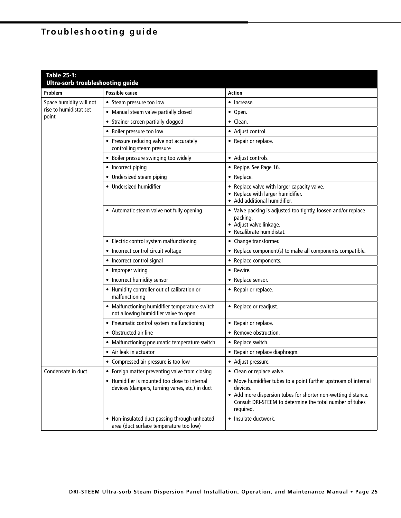# **Troubleshooting guide**

| <b>Table 25-1:</b><br><b>Ultra-sorb troubleshooting guide</b> |                                                                                                 |                                                                                                                                                                                                                       |
|---------------------------------------------------------------|-------------------------------------------------------------------------------------------------|-----------------------------------------------------------------------------------------------------------------------------------------------------------------------------------------------------------------------|
| Problem                                                       | Possible cause                                                                                  | <b>Action</b>                                                                                                                                                                                                         |
| Space humidity will not                                       | • Steam pressure too low                                                                        | • Increase.                                                                                                                                                                                                           |
| rise to humidistat set                                        | • Manual steam valve partially closed                                                           | • Open.                                                                                                                                                                                                               |
| point                                                         | • Strainer screen partially clogged                                                             | • Clean.                                                                                                                                                                                                              |
|                                                               | • Boiler pressure too low                                                                       | • Adjust control.                                                                                                                                                                                                     |
|                                                               | • Pressure reducing valve not accurately<br>controlling steam pressure                          | • Repair or replace.                                                                                                                                                                                                  |
|                                                               | • Boiler pressure swinging too widely                                                           | • Adjust controls.                                                                                                                                                                                                    |
|                                                               | • Incorrect piping                                                                              | • Repipe. See Page 16.                                                                                                                                                                                                |
|                                                               | • Undersized steam piping                                                                       | • Replace.                                                                                                                                                                                                            |
|                                                               | • Undersized humidifier                                                                         | • Replace valve with larger capacity valve.<br>• Replace with larger humidifier.<br>• Add additional humidifier.                                                                                                      |
|                                                               | • Automatic steam valve not fully opening                                                       | • Valve packing is adjusted too tightly, loosen and/or replace<br>packing.<br>• Adjust valve linkage.<br>• Recalibrate humidistat.                                                                                    |
|                                                               | • Electric control system malfunctioning                                                        | • Change transformer.                                                                                                                                                                                                 |
|                                                               | • Incorrect control circuit voltage                                                             | • Replace component(s) to make all components compatible.                                                                                                                                                             |
|                                                               | • Incorrect control signal                                                                      | • Replace components.                                                                                                                                                                                                 |
|                                                               | • Improper wiring                                                                               | • Rewire.                                                                                                                                                                                                             |
|                                                               | • Incorrect humidity sensor                                                                     | • Replace sensor.                                                                                                                                                                                                     |
|                                                               | • Humidity controller out of calibration or<br>malfunctioning                                   | • Repair or replace.                                                                                                                                                                                                  |
|                                                               | • Malfunctioning humidifier temperature switch<br>not allowing humidifier valve to open         | • Replace or readjust.                                                                                                                                                                                                |
|                                                               | • Pneumatic control system malfunctioning                                                       | • Repair or replace.                                                                                                                                                                                                  |
|                                                               | • Obstructed air line                                                                           | • Remove obstruction.                                                                                                                                                                                                 |
|                                                               | • Malfunctioning pneumatic temperature switch                                                   | • Replace switch.                                                                                                                                                                                                     |
|                                                               | • Air leak in actuator                                                                          | • Repair or replace diaphragm.                                                                                                                                                                                        |
|                                                               | • Compressed air pressure is too low                                                            | • Adjust pressure.                                                                                                                                                                                                    |
| Condensate in duct                                            | • Foreign matter preventing valve from closing                                                  | • Clean or replace valve.                                                                                                                                                                                             |
|                                                               | • Humidifier is mounted too close to internal<br>devices (dampers, turning vanes, etc.) in duct | • Move humidifier tubes to a point further upstream of internal<br>devices.<br>• Add more dispersion tubes for shorter non-wetting distance.<br>Consult DRI-STEEM to determine the total number of tubes<br>required. |
|                                                               | • Non-insulated duct passing through unheated<br>area (duct surface temperature too low)        | • Insulate ductwork.                                                                                                                                                                                                  |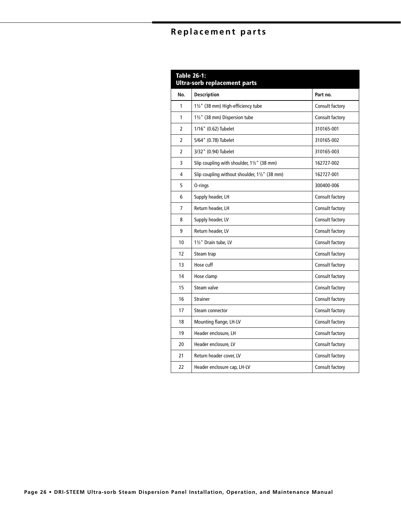# **Replacement parts**

| <b>Table 26-1:</b><br><b>Ultra-sorb replacement parts</b> |                                               |                 |
|-----------------------------------------------------------|-----------------------------------------------|-----------------|
| No.                                                       | <b>Description</b>                            | Part no.        |
| 1                                                         | 11/2" (38 mm) High-efficiency tube            | Consult factory |
| 1                                                         | 11/2" (38 mm) Dispersion tube                 | Consult factory |
| $\overline{2}$                                            | 1/16" (0.62) Tubelet                          | 310165-001      |
| $\overline{2}$                                            | 5/64" (0.78) Tubelet                          | 310165-002      |
| 2                                                         | 3/32" (0.94) Tubelet                          | 310165-003      |
| 3                                                         | Slip coupling with shoulder, 11/2" (38 mm)    | 162727-002      |
| 4                                                         | Slip coupling without shoulder, 11/2" (38 mm) | 162727-001      |
| 5                                                         | O-rings                                       | 300400-006      |
| 6                                                         | Supply header, LH                             | Consult factory |
| 7                                                         | Return header, LH                             | Consult factory |
| 8                                                         | Supply header, LV                             | Consult factory |
| 9                                                         | Return header, LV                             | Consult factory |
| 10                                                        | 11/2" Drain tube. LV                          | Consult factory |
| 12                                                        | Steam trap                                    | Consult factory |
| 13                                                        | Hose cuff                                     | Consult factory |
| 14                                                        | Hose clamp                                    | Consult factory |
| 15                                                        | Steam valve                                   | Consult factory |
| 16                                                        | <b>Strainer</b>                               | Consult factory |
| 17                                                        | Steam connector                               | Consult factory |
| 18                                                        | Mounting flange, LH-LV                        | Consult factory |
| 19                                                        | Header enclosure, LH                          | Consult factory |
| 20                                                        | Header enclosure. LV                          | Consult factory |
| 21                                                        | Return header cover, LV                       | Consult factory |
| 22                                                        | Header enclosure cap, LH-LV                   | Consult factory |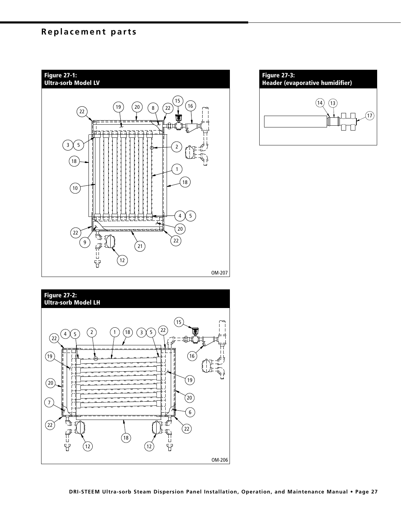### **Replacement parts**